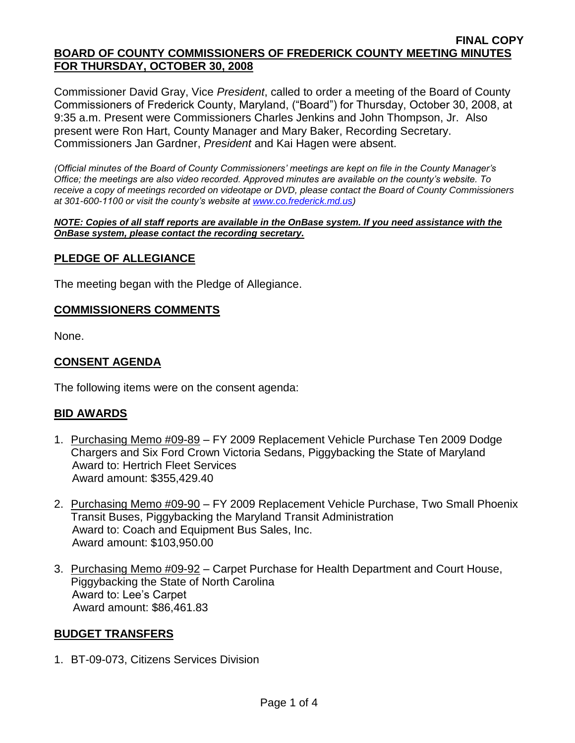#### **FINAL COPY BOARD OF COUNTY COMMISSIONERS OF FREDERICK COUNTY MEETING MINUTES FOR THURSDAY, OCTOBER 30, 2008**

Commissioner David Gray, Vice *President*, called to order a meeting of the Board of County Commissioners of Frederick County, Maryland, ("Board") for Thursday, October 30, 2008, at 9:35 a.m. Present were Commissioners Charles Jenkins and John Thompson, Jr. Also present were Ron Hart, County Manager and Mary Baker, Recording Secretary. Commissioners Jan Gardner, *President* and Kai Hagen were absent.

*(Official minutes of the Board of County Commissioners' meetings are kept on file in the County Manager's Office; the meetings are also video recorded. Approved minutes are available on the county's website. To receive a copy of meetings recorded on videotape or DVD, please contact the Board of County Commissioners at 301-600-1100 or visit the county's website at [www.co.frederick.md.us\)](http://www.co.frederick.md.us/)*

*NOTE: Copies of all staff reports are available in the OnBase system. If you need assistance with the OnBase system, please contact the recording secretary.*

### **PLEDGE OF ALLEGIANCE**

The meeting began with the Pledge of Allegiance.

### **COMMISSIONERS COMMENTS**

None.

### **CONSENT AGENDA**

The following items were on the consent agenda:

#### **BID AWARDS**

- 1. Purchasing Memo #09-89 FY 2009 Replacement Vehicle Purchase Ten 2009 Dodge Chargers and Six Ford Crown Victoria Sedans, Piggybacking the State of Maryland Award to: Hertrich Fleet Services Award amount: \$355,429.40
- 2. Purchasing Memo #09-90 FY 2009 Replacement Vehicle Purchase, Two Small Phoenix Transit Buses, Piggybacking the Maryland Transit Administration Award to: Coach and Equipment Bus Sales, Inc. Award amount: \$103,950.00
- 3. Purchasing Memo #09-92 Carpet Purchase for Health Department and Court House, Piggybacking the State of North Carolina Award to: Lee's Carpet Award amount: \$86,461.83

#### **BUDGET TRANSFERS**

1. BT-09-073, Citizens Services Division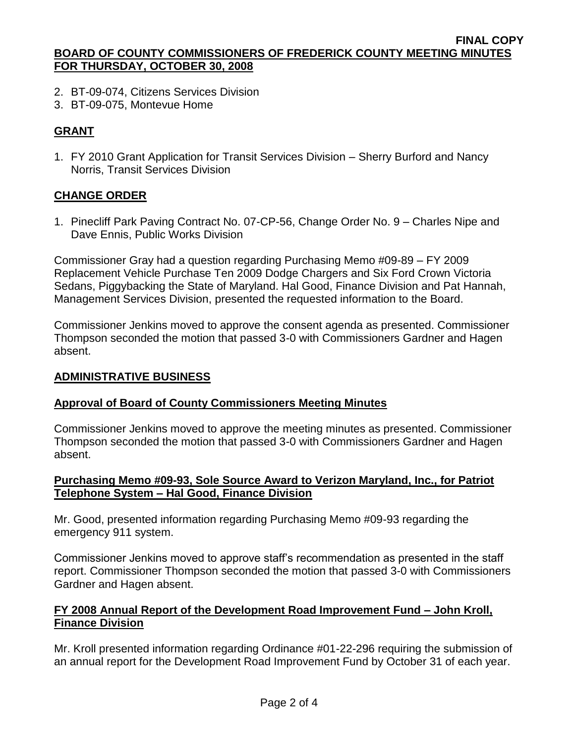#### **FINAL COPY BOARD OF COUNTY COMMISSIONERS OF FREDERICK COUNTY MEETING MINUTES FOR THURSDAY, OCTOBER 30, 2008**

- 2. BT-09-074, Citizens Services Division
- 3. BT-09-075, Montevue Home

# **GRANT**

1. FY 2010 Grant Application for Transit Services Division – Sherry Burford and Nancy Norris, Transit Services Division

# **CHANGE ORDER**

1. Pinecliff Park Paving Contract No. 07-CP-56, Change Order No. 9 – Charles Nipe and Dave Ennis, Public Works Division

Commissioner Gray had a question regarding Purchasing Memo #09-89 – FY 2009 Replacement Vehicle Purchase Ten 2009 Dodge Chargers and Six Ford Crown Victoria Sedans, Piggybacking the State of Maryland. Hal Good, Finance Division and Pat Hannah, Management Services Division, presented the requested information to the Board.

Commissioner Jenkins moved to approve the consent agenda as presented. Commissioner Thompson seconded the motion that passed 3-0 with Commissioners Gardner and Hagen absent.

### **ADMINISTRATIVE BUSINESS**

## **Approval of Board of County Commissioners Meeting Minutes**

Commissioner Jenkins moved to approve the meeting minutes as presented. Commissioner Thompson seconded the motion that passed 3-0 with Commissioners Gardner and Hagen absent.

## **Purchasing Memo #09-93, Sole Source Award to Verizon Maryland, Inc., for Patriot Telephone System – Hal Good, Finance Division**

Mr. Good, presented information regarding Purchasing Memo #09-93 regarding the emergency 911 system.

Commissioner Jenkins moved to approve staff's recommendation as presented in the staff report. Commissioner Thompson seconded the motion that passed 3-0 with Commissioners Gardner and Hagen absent.

# **FY 2008 Annual Report of the Development Road Improvement Fund – John Kroll, Finance Division**

Mr. Kroll presented information regarding Ordinance #01-22-296 requiring the submission of an annual report for the Development Road Improvement Fund by October 31 of each year.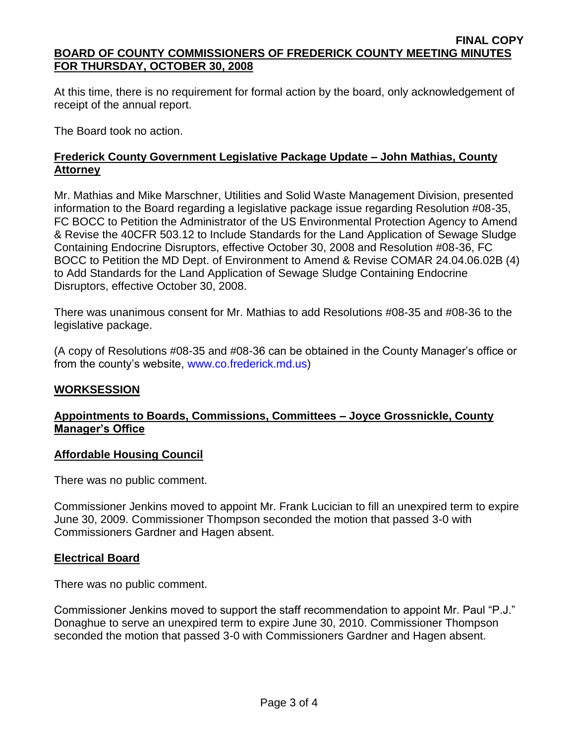#### **FINAL COPY BOARD OF COUNTY COMMISSIONERS OF FREDERICK COUNTY MEETING MINUTES FOR THURSDAY, OCTOBER 30, 2008**

At this time, there is no requirement for formal action by the board, only acknowledgement of receipt of the annual report.

The Board took no action.

# **Frederick County Government Legislative Package Update – John Mathias, County Attorney**

Mr. Mathias and Mike Marschner, Utilities and Solid Waste Management Division, presented information to the Board regarding a legislative package issue regarding Resolution #08-35, FC BOCC to Petition the Administrator of the US Environmental Protection Agency to Amend & Revise the 40CFR 503.12 to Include Standards for the Land Application of Sewage Sludge Containing Endocrine Disruptors, effective October 30, 2008 and Resolution #08-36, FC BOCC to Petition the MD Dept. of Environment to Amend & Revise COMAR 24.04.06.02B (4) to Add Standards for the Land Application of Sewage Sludge Containing Endocrine Disruptors, effective October 30, 2008.

There was unanimous consent for Mr. Mathias to add Resolutions #08-35 and #08-36 to the legislative package.

(A copy of Resolutions #08-35 and #08-36 can be obtained in the County Manager's office or from the county's website, [www.co.frederick.md.us\)](www.co.frederick.md.us)

## **WORKSESSION**

# **Appointments to Boards, Commissions, Committees – Joyce Grossnickle, County Manager's Office**

## **Affordable Housing Council**

There was no public comment.

Commissioner Jenkins moved to appoint Mr. Frank Lucician to fill an unexpired term to expire June 30, 2009. Commissioner Thompson seconded the motion that passed 3-0 with Commissioners Gardner and Hagen absent.

## **Electrical Board**

There was no public comment.

Commissioner Jenkins moved to support the staff recommendation to appoint Mr. Paul "P.J." Donaghue to serve an unexpired term to expire June 30, 2010. Commissioner Thompson seconded the motion that passed 3-0 with Commissioners Gardner and Hagen absent.